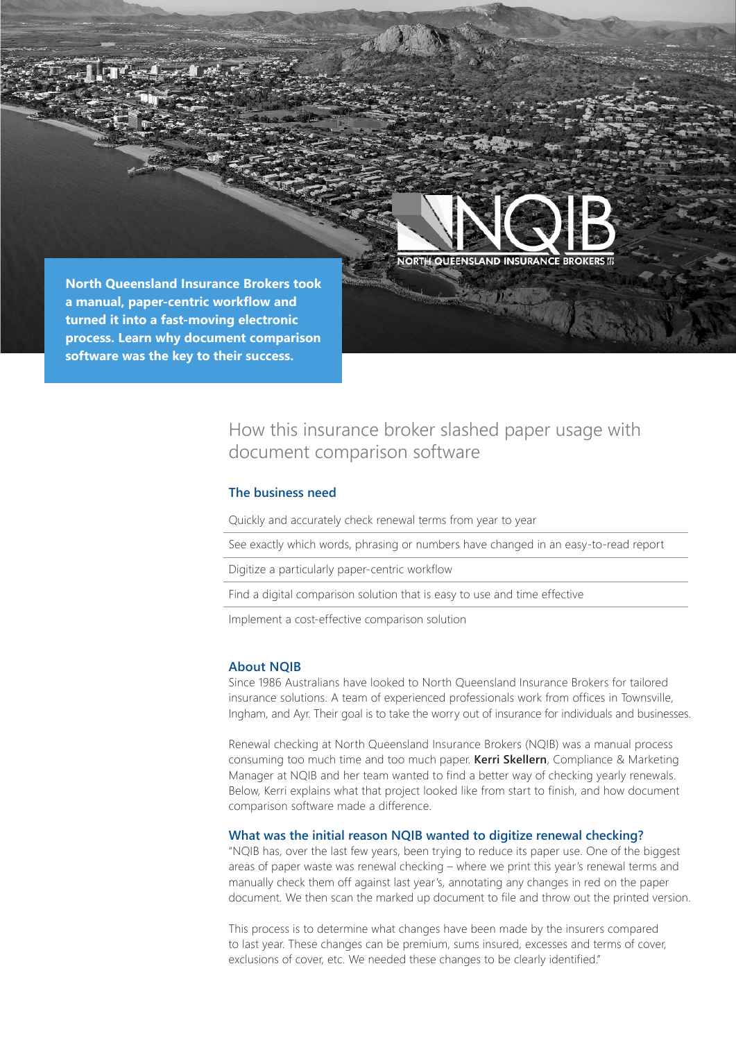



**SATISTICS** 

**North Queensland Insurance Brokers took a manual, paper-centric workflow and turned it into a fast-moving electronic process. Learn why document comparison software was the key to their success.**

# How this insurance broker slashed paper usage with document comparison software

### **The business need**

Quickly and accurately check renewal terms from year to year

See exactly which words, phrasing or numbers have changed in an easy-to-read report

Digitize a particularly paper-centric workflow

Find a digital comparison solution that is easy to use and time effective

Implement a cost-effective comparison solution

#### **About NQIB**

Since 1986 Australians have looked to North Queensland Insurance Brokers for tailored insurance solutions. A team of experienced professionals work from offices in Townsville, Ingham, and Ayr. Their goal is to take the worry out of insurance for individuals and businesses.

Renewal checking at North Queensland Insurance Brokers (NQIB) was a manual process consuming too much time and too much paper. **Kerri Skellern**, Compliance & Marketing Manager at NQIB and her team wanted to find a better way of checking yearly renewals. Below, Kerri explains what that project looked like from start to finish, and how document comparison software made a difference.

#### **What was the initial reason NQIB wanted to digitize renewal checking?**

"NQIB has, over the last few years, been trying to reduce its paper use. One of the biggest areas of paper waste was renewal checking – where we print this year's renewal terms and manually check them off against last year's, annotating any changes in red on the paper document. We then scan the marked up document to file and throw out the printed version.

This process is to determine what changes have been made by the insurers compared to last year. These changes can be premium, sums insured, excesses and terms of cover, exclusions of cover, etc. We needed these changes to be clearly identified."